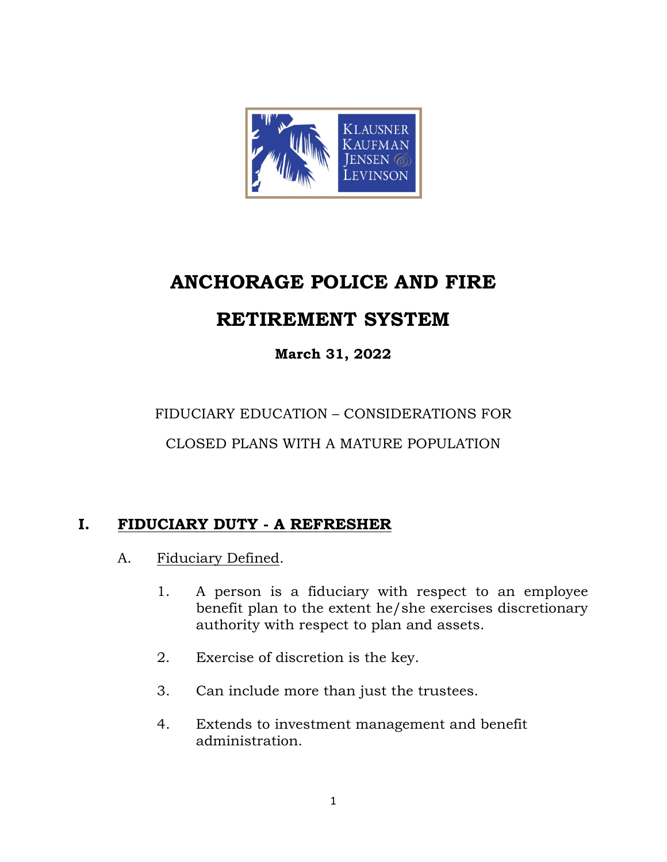

# **ANCHORAGE POLICE AND FIRE**

## **RETIREMENT SYSTEM**

## **March 31, 2022**

FIDUCIARY EDUCATION – CONSIDERATIONS FOR

CLOSED PLANS WITH A MATURE POPULATION

### **I. FIDUCIARY DUTY - A REFRESHER**

- A. Fiduciary Defined.
	- 1. A person is a fiduciary with respect to an employee benefit plan to the extent he/she exercises discretionary authority with respect to plan and assets.
	- 2. Exercise of discretion is the key.
	- 3. Can include more than just the trustees.
	- 4. Extends to investment management and benefit administration.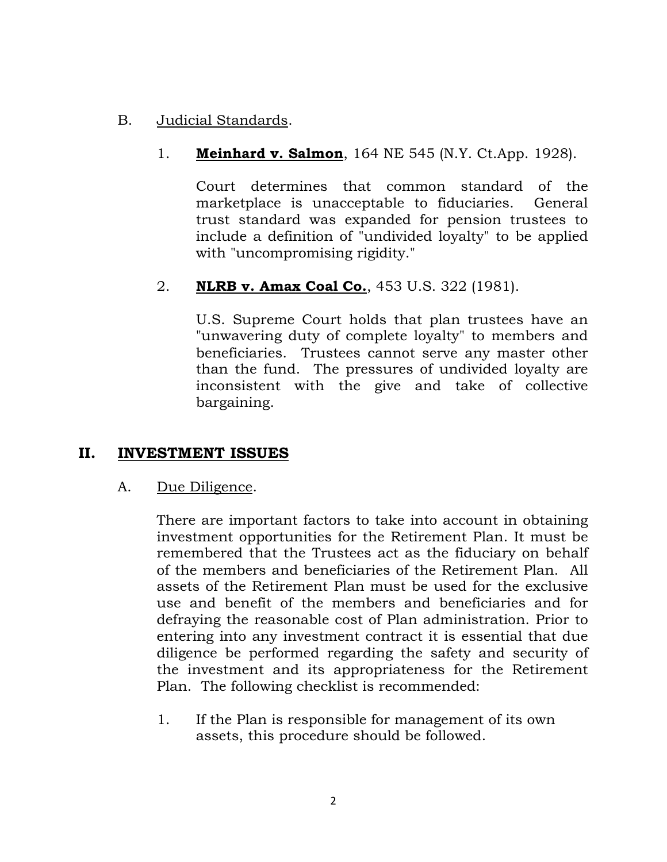#### B. Judicial Standards.

#### 1. **Meinhard v. Salmon**, 164 NE 545 (N.Y. Ct.App. 1928).

Court determines that common standard of the marketplace is unacceptable to fiduciaries. General trust standard was expanded for pension trustees to include a definition of "undivided loyalty" to be applied with "uncompromising rigidity."

#### 2. **NLRB v. Amax Coal Co.**, 453 U.S. 322 (1981).

U.S. Supreme Court holds that plan trustees have an "unwavering duty of complete loyalty" to members and beneficiaries. Trustees cannot serve any master other than the fund. The pressures of undivided loyalty are inconsistent with the give and take of collective bargaining.

#### **II. INVESTMENT ISSUES**

#### A. Due Diligence.

There are important factors to take into account in obtaining investment opportunities for the Retirement Plan. It must be remembered that the Trustees act as the fiduciary on behalf of the members and beneficiaries of the Retirement Plan. All assets of the Retirement Plan must be used for the exclusive use and benefit of the members and beneficiaries and for defraying the reasonable cost of Plan administration. Prior to entering into any investment contract it is essential that due diligence be performed regarding the safety and security of the investment and its appropriateness for the Retirement Plan. The following checklist is recommended:

1. If the Plan is responsible for management of its own assets, this procedure should be followed.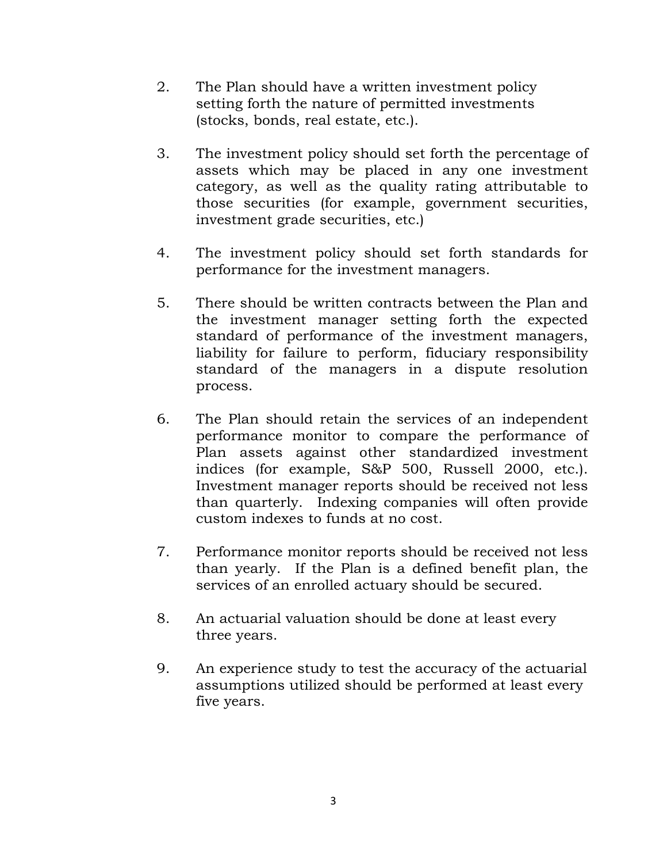- 2. The Plan should have a written investment policy setting forth the nature of permitted investments (stocks, bonds, real estate, etc.).
- 3. The investment policy should set forth the percentage of assets which may be placed in any one investment category, as well as the quality rating attributable to those securities (for example, government securities, investment grade securities, etc.)
- 4. The investment policy should set forth standards for performance for the investment managers.
- 5. There should be written contracts between the Plan and the investment manager setting forth the expected standard of performance of the investment managers, liability for failure to perform, fiduciary responsibility standard of the managers in a dispute resolution process.
- 6. The Plan should retain the services of an independent performance monitor to compare the performance of Plan assets against other standardized investment indices (for example, S&P 500, Russell 2000, etc.). Investment manager reports should be received not less than quarterly. Indexing companies will often provide custom indexes to funds at no cost.
- 7. Performance monitor reports should be received not less than yearly. If the Plan is a defined benefit plan, the services of an enrolled actuary should be secured.
- 8. An actuarial valuation should be done at least every three years.
- 9. An experience study to test the accuracy of the actuarial assumptions utilized should be performed at least every five years.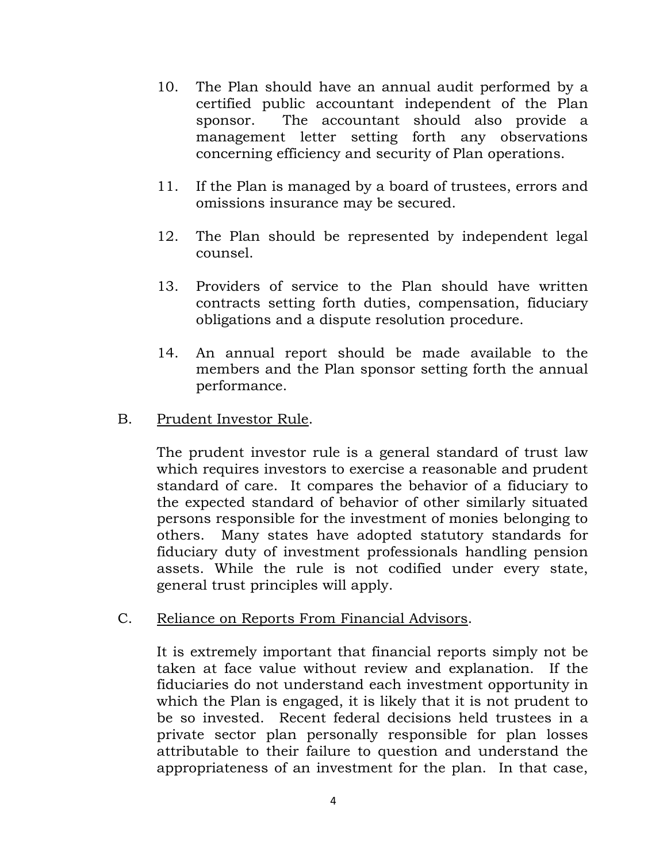- 10. The Plan should have an annual audit performed by a certified public accountant independent of the Plan sponsor. The accountant should also provide a management letter setting forth any observations concerning efficiency and security of Plan operations.
- 11. If the Plan is managed by a board of trustees, errors and omissions insurance may be secured.
- 12. The Plan should be represented by independent legal counsel.
- 13. Providers of service to the Plan should have written contracts setting forth duties, compensation, fiduciary obligations and a dispute resolution procedure.
- 14. An annual report should be made available to the members and the Plan sponsor setting forth the annual performance.
- B. Prudent Investor Rule.

The prudent investor rule is a general standard of trust law which requires investors to exercise a reasonable and prudent standard of care. It compares the behavior of a fiduciary to the expected standard of behavior of other similarly situated persons responsible for the investment of monies belonging to others. Many states have adopted statutory standards for fiduciary duty of investment professionals handling pension assets. While the rule is not codified under every state, general trust principles will apply.

C. Reliance on Reports From Financial Advisors.

It is extremely important that financial reports simply not be taken at face value without review and explanation. If the fiduciaries do not understand each investment opportunity in which the Plan is engaged, it is likely that it is not prudent to be so invested. Recent federal decisions held trustees in a private sector plan personally responsible for plan losses attributable to their failure to question and understand the appropriateness of an investment for the plan. In that case,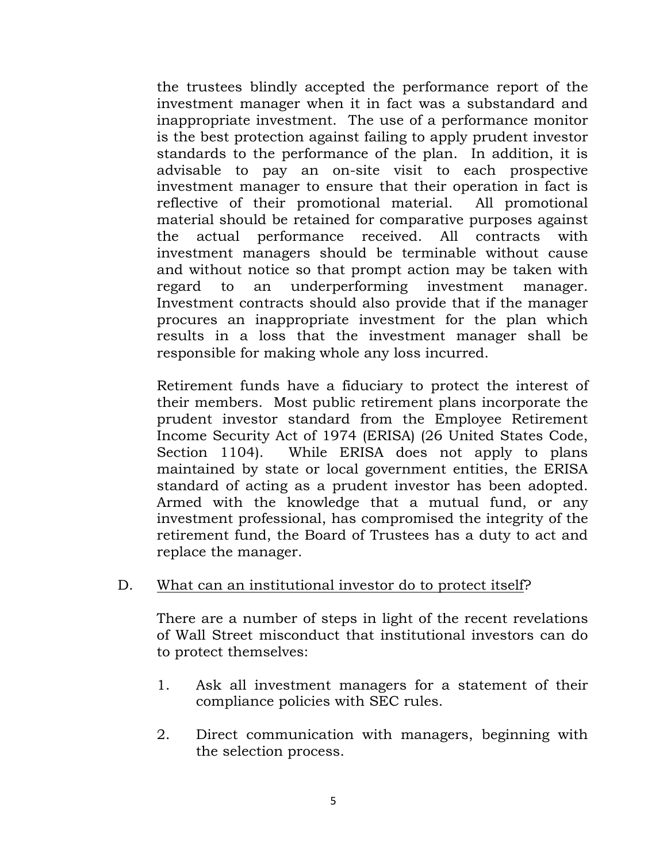the trustees blindly accepted the performance report of the investment manager when it in fact was a substandard and inappropriate investment. The use of a performance monitor is the best protection against failing to apply prudent investor standards to the performance of the plan. In addition, it is advisable to pay an on-site visit to each prospective investment manager to ensure that their operation in fact is reflective of their promotional material. All promotional material should be retained for comparative purposes against the actual performance received. All contracts with investment managers should be terminable without cause and without notice so that prompt action may be taken with regard to an underperforming investment manager. Investment contracts should also provide that if the manager procures an inappropriate investment for the plan which results in a loss that the investment manager shall be responsible for making whole any loss incurred.

Retirement funds have a fiduciary to protect the interest of their members. Most public retirement plans incorporate the prudent investor standard from the Employee Retirement Income Security Act of 1974 (ERISA) (26 United States Code, Section 1104). While ERISA does not apply to plans maintained by state or local government entities, the ERISA standard of acting as a prudent investor has been adopted. Armed with the knowledge that a mutual fund, or any investment professional, has compromised the integrity of the retirement fund, the Board of Trustees has a duty to act and replace the manager.

D. What can an institutional investor do to protect itself?

There are a number of steps in light of the recent revelations of Wall Street misconduct that institutional investors can do to protect themselves:

- 1. Ask all investment managers for a statement of their compliance policies with SEC rules.
- 2. Direct communication with managers, beginning with the selection process.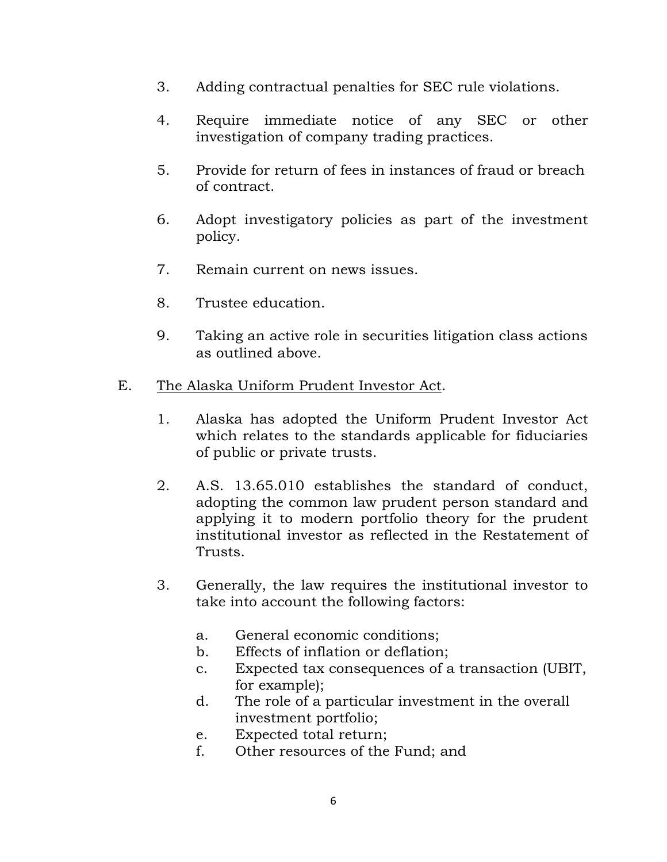- 3. Adding contractual penalties for SEC rule violations.
- 4. Require immediate notice of any SEC or other investigation of company trading practices.
- 5. Provide for return of fees in instances of fraud or breach of contract.
- 6. Adopt investigatory policies as part of the investment policy.
- 7. Remain current on news issues.
- 8. Trustee education.
- 9. Taking an active role in securities litigation class actions as outlined above.
- E. The Alaska Uniform Prudent Investor Act.
	- 1. Alaska has adopted the Uniform Prudent Investor Act which relates to the standards applicable for fiduciaries of public or private trusts.
	- 2. A.S. 13.65.010 establishes the standard of conduct, adopting the common law prudent person standard and applying it to modern portfolio theory for the prudent institutional investor as reflected in the Restatement of Trusts.
	- 3. Generally, the law requires the institutional investor to take into account the following factors:
		- a. General economic conditions;
		- b. Effects of inflation or deflation;
		- c. Expected tax consequences of a transaction (UBIT, for example);
		- d. The role of a particular investment in the overall investment portfolio;
		- e. Expected total return;
		- f. Other resources of the Fund; and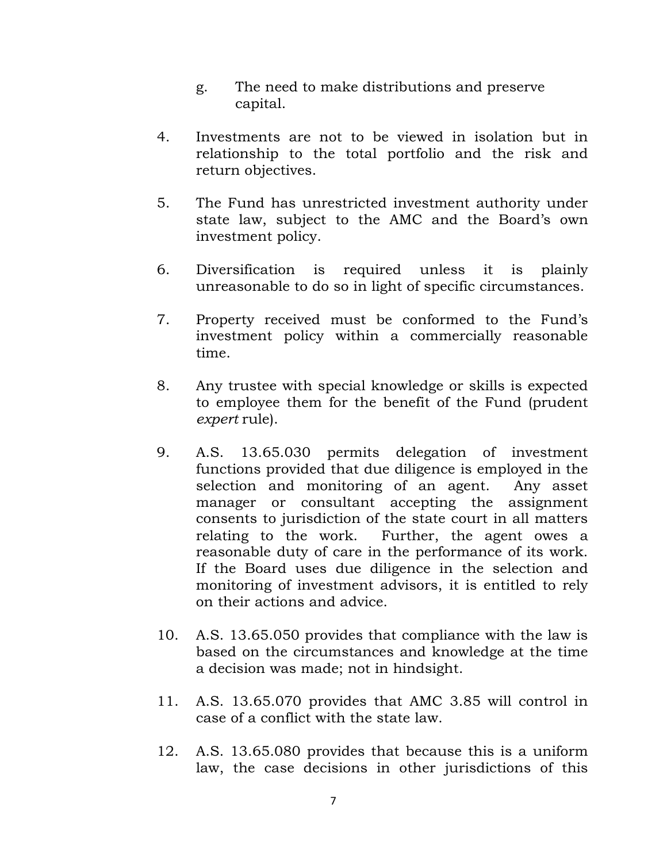- g. The need to make distributions and preserve capital.
- 4. Investments are not to be viewed in isolation but in relationship to the total portfolio and the risk and return objectives.
- 5. The Fund has unrestricted investment authority under state law, subject to the AMC and the Board's own investment policy.
- 6. Diversification is required unless it is plainly unreasonable to do so in light of specific circumstances.
- 7. Property received must be conformed to the Fund's investment policy within a commercially reasonable time.
- 8. Any trustee with special knowledge or skills is expected to employee them for the benefit of the Fund (prudent *expert* rule).
- 9. A.S. 13.65.030 permits delegation of investment functions provided that due diligence is employed in the selection and monitoring of an agent. Any asset manager or consultant accepting the assignment consents to jurisdiction of the state court in all matters relating to the work. Further, the agent owes a reasonable duty of care in the performance of its work. If the Board uses due diligence in the selection and monitoring of investment advisors, it is entitled to rely on their actions and advice.
- 10. A.S. 13.65.050 provides that compliance with the law is based on the circumstances and knowledge at the time a decision was made; not in hindsight.
- 11. A.S. 13.65.070 provides that AMC 3.85 will control in case of a conflict with the state law.
- 12. A.S. 13.65.080 provides that because this is a uniform law, the case decisions in other jurisdictions of this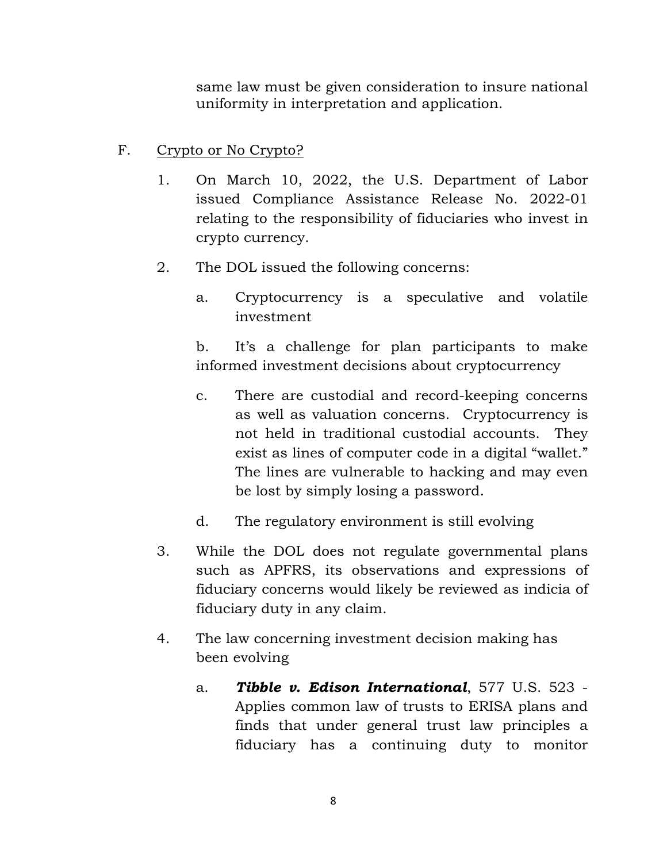same law must be given consideration to insure national uniformity in interpretation and application.

#### F. Crypto or No Crypto?

- 1. On March 10, 2022, the U.S. Department of Labor issued Compliance Assistance Release No. 2022-01 relating to the responsibility of fiduciaries who invest in crypto currency.
- 2. The DOL issued the following concerns:
	- a. Cryptocurrency is a speculative and volatile investment

b. It's a challenge for plan participants to make informed investment decisions about cryptocurrency

- c. There are custodial and record-keeping concerns as well as valuation concerns. Cryptocurrency is not held in traditional custodial accounts. They exist as lines of computer code in a digital "wallet." The lines are vulnerable to hacking and may even be lost by simply losing a password.
- d. The regulatory environment is still evolving
- 3. While the DOL does not regulate governmental plans such as APFRS, its observations and expressions of fiduciary concerns would likely be reviewed as indicia of fiduciary duty in any claim.
- 4. The law concerning investment decision making has been evolving
	- a. *Tibble v. Edison International*, 577 U.S. 523 Applies common law of trusts to ERISA plans and finds that under general trust law principles a fiduciary has a continuing duty to monitor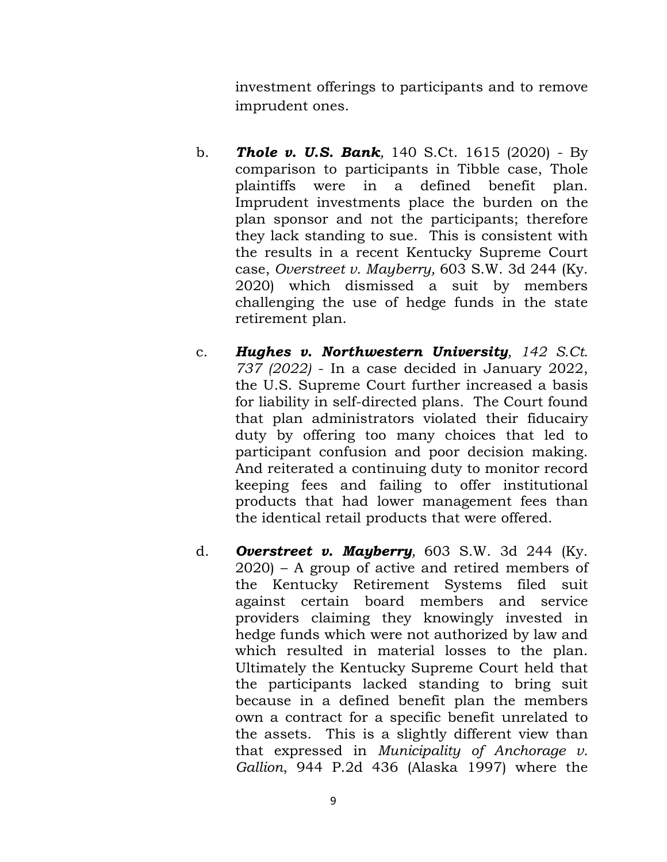investment offerings to participants and to remove imprudent ones.

- b. *Thole v. U.S. Bank,* 140 S.Ct. 1615 (2020) By comparison to participants in Tibble case, Thole plaintiffs were in a defined benefit plan. Imprudent investments place the burden on the plan sponsor and not the participants; therefore they lack standing to sue. This is consistent with the results in a recent Kentucky Supreme Court case, *Overstreet v. Mayberry,* 603 S.W. 3d 244 (Ky. 2020) which dismissed a suit by members challenging the use of hedge funds in the state retirement plan.
- c. *Hughes v. Northwestern University, 142 S.Ct. 737 (2022)* - In a case decided in January 2022, the U.S. Supreme Court further increased a basis for liability in self-directed plans. The Court found that plan administrators violated their fiducairy duty by offering too many choices that led to participant confusion and poor decision making. And reiterated a continuing duty to monitor record keeping fees and failing to offer institutional products that had lower management fees than the identical retail products that were offered.
- d. *Overstreet v. Mayberry,* 603 S.W. 3d 244 (Ky. 2020) – A group of active and retired members of the Kentucky Retirement Systems filed suit against certain board members and service providers claiming they knowingly invested in hedge funds which were not authorized by law and which resulted in material losses to the plan. Ultimately the Kentucky Supreme Court held that the participants lacked standing to bring suit because in a defined benefit plan the members own a contract for a specific benefit unrelated to the assets. This is a slightly different view than that expressed in *Municipality of Anchorage v. Gallion*, 944 P.2d 436 (Alaska 1997) where the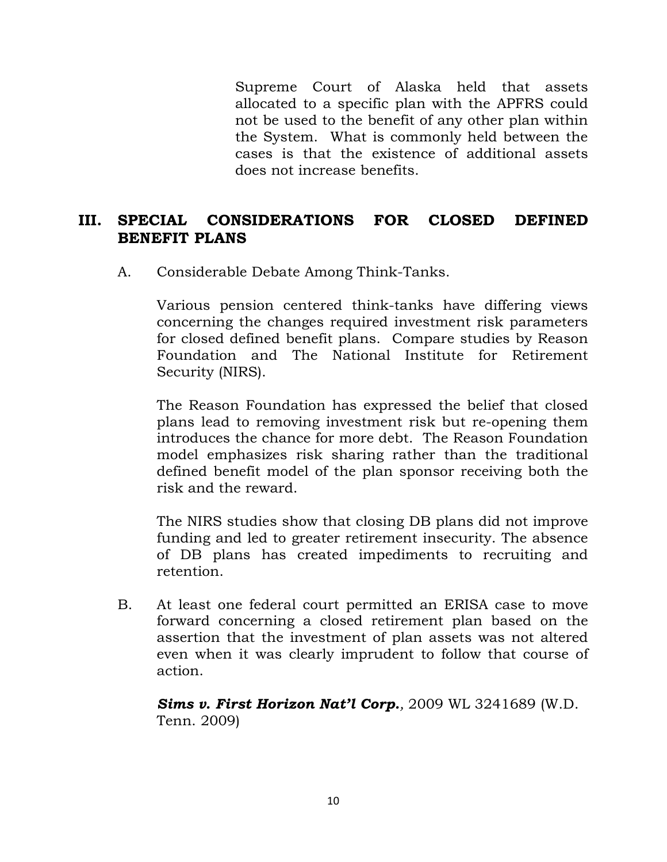Supreme Court of Alaska held that assets allocated to a specific plan with the APFRS could not be used to the benefit of any other plan within the System. What is commonly held between the cases is that the existence of additional assets does not increase benefits.

#### **III. SPECIAL CONSIDERATIONS FOR CLOSED DEFINED BENEFIT PLANS**

A. Considerable Debate Among Think-Tanks.

Various pension centered think-tanks have differing views concerning the changes required investment risk parameters for closed defined benefit plans. Compare studies by Reason Foundation and The National Institute for Retirement Security (NIRS).

The Reason Foundation has expressed the belief that closed plans lead to removing investment risk but re-opening them introduces the chance for more debt. The Reason Foundation model emphasizes risk sharing rather than the traditional defined benefit model of the plan sponsor receiving both the risk and the reward.

The NIRS studies show that closing DB plans did not improve funding and led to greater retirement insecurity. The absence of DB plans has created impediments to recruiting and retention.

B. At least one federal court permitted an ERISA case to move forward concerning a closed retirement plan based on the assertion that the investment of plan assets was not altered even when it was clearly imprudent to follow that course of action.

*Sims v. First Horizon Nat'l Corp.,* 2009 WL 3241689 (W.D. Tenn. 2009)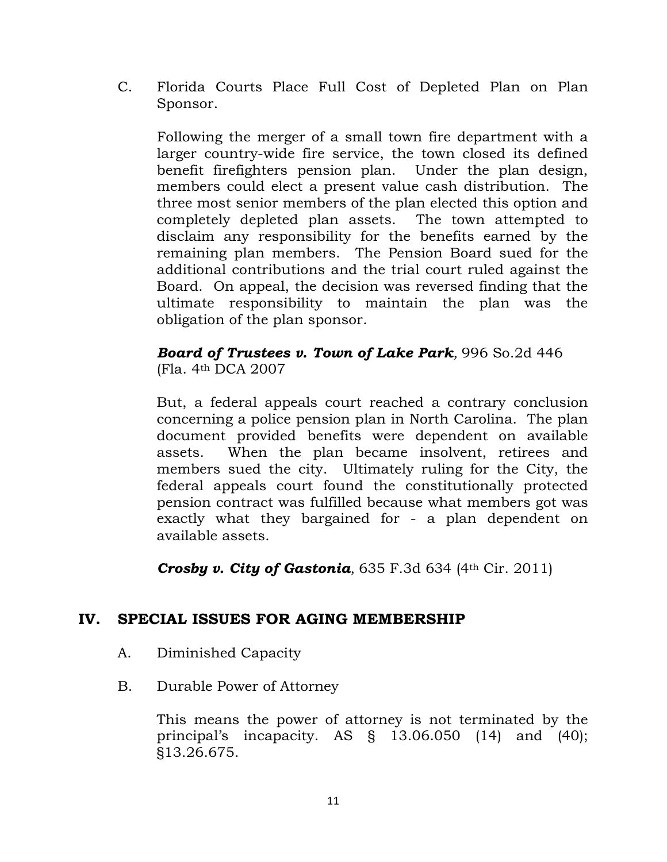C. Florida Courts Place Full Cost of Depleted Plan on Plan Sponsor.

Following the merger of a small town fire department with a larger country-wide fire service, the town closed its defined benefit firefighters pension plan. Under the plan design, members could elect a present value cash distribution. The three most senior members of the plan elected this option and completely depleted plan assets. The town attempted to disclaim any responsibility for the benefits earned by the remaining plan members. The Pension Board sued for the additional contributions and the trial court ruled against the Board. On appeal, the decision was reversed finding that the ultimate responsibility to maintain the plan was the obligation of the plan sponsor.

#### *Board of Trustees v. Town of Lake Park,* 996 So.2d 446 (Fla. 4th DCA 2007

But, a federal appeals court reached a contrary conclusion concerning a police pension plan in North Carolina. The plan document provided benefits were dependent on available assets. When the plan became insolvent, retirees and members sued the city. Ultimately ruling for the City, the federal appeals court found the constitutionally protected pension contract was fulfilled because what members got was exactly what they bargained for - a plan dependent on available assets.

*Crosby v. City of Gastonia*, 635 F.3d 634 (4th Cir. 2011)

#### **IV. SPECIAL ISSUES FOR AGING MEMBERSHIP**

- A. Diminished Capacity
- B. Durable Power of Attorney

This means the power of attorney is not terminated by the principal's incapacity. AS § 13.06.050 (14) and (40); §13.26.675.